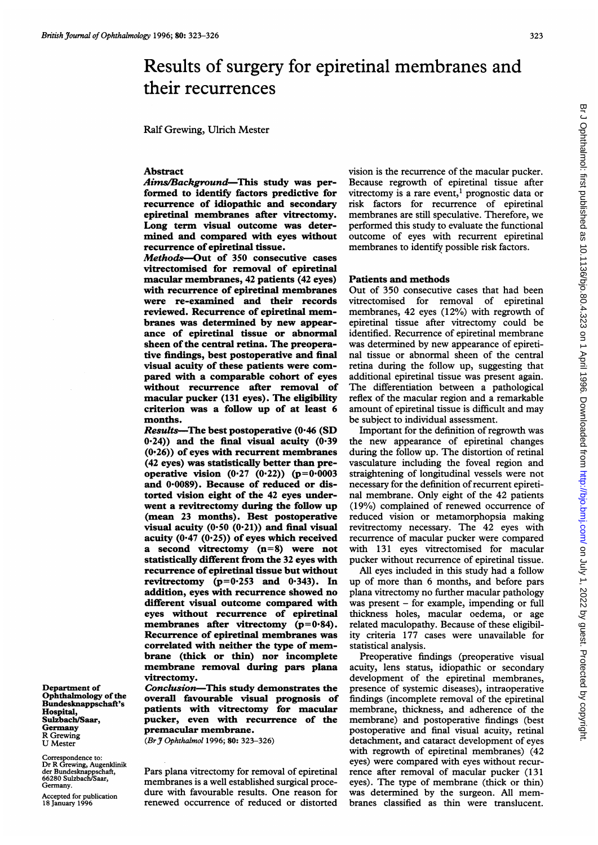# Results of surgery for epiretinal membranes and their recurrences

Ralf Grewing, Ulrich Mester

#### Abstract

Aims/Background-This study was performed to identify factors predictive for recurrence of idiopathic and secondary epiretinal membranes after vitrectomy. Long term visual outcome was determined and compared with eyes without recurrence of epiretinal tissue.

Methods-Out of 350 consecutive cases vitrectomised for removal of epiretinal macular membranes, 42 patients (42 eyes) with recurrence of epiretinal membranes were re-examined and their records reviewed. Recurrence of epiretinal membranes was determined by new appearance of epiretinal tissue or abnormal sheen of the central retina. The preoperative findings, best postoperative and final visual acuity of these patients were compared with a comparable cohort of eyes without recurrence after removal of macular pucker (131 eyes). The eligibility criterion was a follow up of at least 6 months.

Results-The best postoperative  $(0.46$  (SD  $(0.24)$ ) and the final visual acuity  $(0.39)$  $(0.26)$ ) of eyes with recurrent membranes (42 eyes) was statistically better than preoperative vision  $(0.27 (0.22)) (p=0.0003)$ and 0.0089). Because of reduced or distorted vision eight of the 42 eyes underwent a revitrectomy during the follow up (mean 23 months). Best postoperative visual acuity  $(0.50 (0.21))$  and final visual acuity  $(0.47 (0.25))$  of eyes which received a second vitrectomy (n=8) were not statistically different from the 32 eyes with recurrence of epiretinal tissue but without revitrectomy  $(p=0.253$  and  $0.343)$ . In addition, eyes with recurrence showed no different visual outcome compared with eyes without recurrence of epiretinal membranes after vitrectomy  $(p=0.84)$ . Recurrence of epiretinal membranes was correlated with neither the type of membrane (thick or thin) nor incomplete membrane removal during pars plana vitrectomy.

Conclusion-This study demonstrates the overall favourable visual prognosis of patients with vitrectomy for macular pucker, even with recurrence of the premacular membrane.

(Br J Ophthalmol 1996; 80: 323-326)

Correspondence to: Dr R Grewing, Augenklinik der Bundesknappschaft, 66280 Sulzbach/Saar, Germany.

Accepted for publication 18 January 1996

Department of Ophthalmology of the Bundesknappschaft's Hospital, Sulzbach/Saar, Germany R Grewing U Mester

> Pars plana vitrectomy for removal of epiretinal membranes is a well established surgical procedure with favourable results. One reason for renewed occurrence of reduced or distorted

vision is the recurrence of the macular pucker. Because regrowth of epiretinal tissue after vitrectomy is a rare event,<sup>1</sup> prognostic data or risk factors for recurrence of epiretinal membranes are still speculative. Therefore, we performed this study to evaluate the functional outcome of eyes with recurrent epiretinal membranes to identify possible risk factors.

# Patients and methods

Out of 350 consecutive cases that had been vitrectomised for removal of epiretinal membranes, 42 eyes (12%) with regrowth of epiretinal tissue after vitrectomy could be identified. Recurrence of epiretinal membrane was determined by new appearance of epiretinal tissue or abnormal sheen of the central retina during the follow up, suggesting that additional epiretinal tissue was present again. The differentiation between a pathological reflex of the macular region and a remarkable amount of epiretinal tissue is difficult and may be subject to individual assessment.

Important for the definition of regrowth was the new appearance of epiretinal changes during the follow up. The distortion of retinal vasculature including the foveal region and straightening of longitudinal vessels were not necessary for the definition of recurrent epiretinal membrane. Only eight of the 42 patients (19%) complained of renewed occurrence of reduced vision or metamorphopsia making revitrectomy necessary. The 42 eyes with recurrence of macular pucker were compared with 131 eyes vitrectomised for macular pucker without recurrence of epiretinal tissue.

All eyes included in this study had a follow up of more than 6 months, and before pars plana vitrectomy no further macular pathology was present - for example, impending or full thickness holes, macular oedema, or age related maculopathy. Because of these eligibility criteria 177 cases were unavailable for statistical analysis.

Preoperative findings (preoperative visual acuity, lens status, idiopathic or secondary development of the epiretinal membranes, presence of systemic diseases), intraoperative findings (incomplete removal of the epiretinal membrane, thickness, and adherence of the membrane) and postoperative findings (best postoperative and final visual acuity, retinal detachment, and cataract development of eyes with regrowth of epiretinal membranes) (42 eyes) were compared with eyes without recurrence after removal of macular pucker (131 eyes). The type of membrane (thick or thin) was determined by the surgeon. All membranes classified as thin were translucent.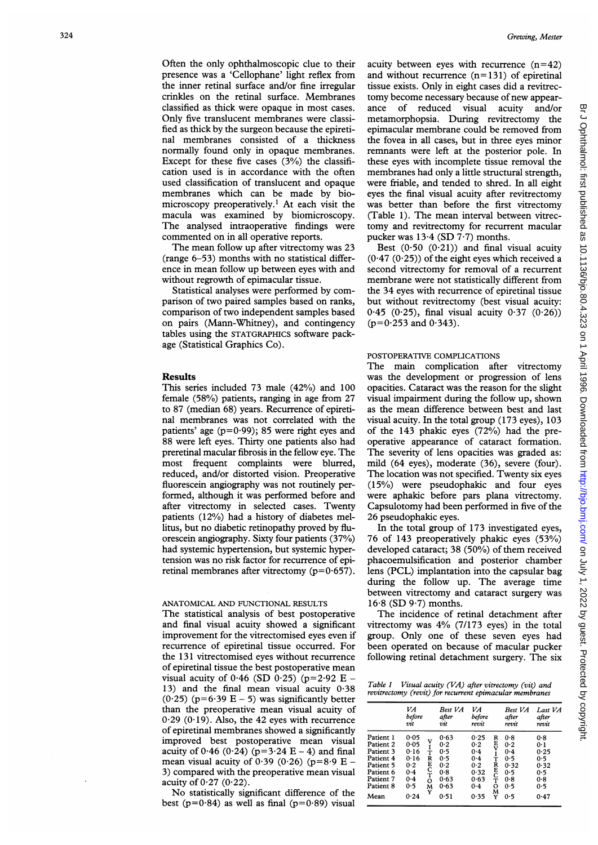Often the only ophthalmoscopic clue to their presence was a 'Cellophane' light reflex from the inner retinal surface and/or fine irregular crinkles on the retinal surface. Membranes classified as thick were opaque in most cases. Only five translucent membranes were classified as thick by the surgeon because the epiretinal membranes consisted of a thickness normally found only in opaque membranes. Except for these five cases  $(3%)$  the classification used is in accordance with the often used classification of translucent and opaque membranes which can be made by biomicroscopy preoperatively.' At each visit the macula was examined by biomicroscopy. The analysed intraoperative findings were commented on in all operative reports.

The mean follow up after vitrectomy was 23 (range 6-53) months with no statistical difference in mean follow up between eyes with and without regrowth of epimacular tissue.

Statistical analyses were performed by comparison of two paired samples based on ranks, comparison of two independent samples based on pairs (Mann-Whitney), and contingency tables using the STATGRAPHICS software package (Statistical Graphics Co).

## Results

This series included 73 male (42%) and 100 female (58%) patients, ranging in age from 27 to 87 (median 68) years. Recurrence of epiretinal membranes was not correlated with the patients' age  $(p=0.99)$ ; 85 were right eyes and 88 were left eyes. Thirty one patients also had preretinal macular fibrosis in the fellow eye. The most frequent complaints were blurred, reduced, and/or distorted vision. Preoperative fluorescein angiography was not routinely performed, although it was performed before and after vitrectomy in selected cases. Twenty patients (12%) had a history of diabetes mellitus, but no diabetic retinopathy proved by fluorescein angiography. Sixty four patients (37%) had systemic hypertension, but systemic hypertension was no risk factor for recurrence of epiretinal membranes after vitrectomy  $(p=0.657)$ .

### ANATOMICAL AND FUNCTIONAL RESULTS

The statistical analysis of best postoperative and final visual acuity showed a significant improvement for the vitrectomised eyes even if recurrence of epiretinal tissue occurred. For the 131 vitrectomised eyes without recurrence of epiretinal tissue the best postoperative mean visual acuity of  $0.46$  (SD  $0.25$ ) (p=2.92 E – 13) and the final mean visual acuity 0-38  $(0.25)$  (p=6.39 E – 5) was significantly better than the preoperative mean visual acuity of  $0.29$  ( $0.19$ ). Also, the 42 eyes with recurrence of epiretinal membranes showed a significantly improved best postoperative mean visual acuity of  $0.46$  (0.24) (p=3.24 E – 4) and final mean visual acuity of  $0.39$  ( $0.26$ ) ( $p=8.9$  E – 3) compared with the preoperative mean visual acuity of  $0.27$  ( $0.22$ ).

No statistically significant difference of the best ( $p=0.84$ ) as well as final ( $p=0.89$ ) visual acuity between eyes with recurrence  $(n=42)$ and without recurrence  $(n=131)$  of epiretinal tissue exists. Only in eight cases did a revitrectomy become necessary because of new appearance of reduced visual acuity and/or metamorphopsia. During revitrectomy the epimacular membrane could be removed from the fovea in all cases, but in three eyes minor remnants were left at the posterior pole. In these eyes with incomplete tissue removal the membranes had only a little structural strength, were friable, and tended to shred. In all eight eyes the final visual acuity after revitrectomy was better than before the first vitrectomy (Table 1). The mean interval between vitrectomy and revitrectomy for recurrent macular pucker was  $13.4$  (SD  $7.7$ ) months.

Best  $(0.50 (0.21))$  and final visual acuity  $(0.47, (0.25))$  of the eight eyes which received a second vitrectomy for removal of a recurrent membrane were not statistically different from the 34 eyes with recurrence of epiretinal tissue but without revitrectomy (best visual acuity:  $0.45$  (0.25), final visual acuity  $0.37$  (0.26))  $(p=0.253$  and  $0.343)$ .

# POSTOPERATIVE COMPLICATIONS

The main complication after vitrectomy was the development or progression of lens opacities. Cataract was the reason for the slight visual impairment during the follow up, shown as the mean difference between best and last visual acuity. In the total group (173 eyes), 103 of the 143 phakic eyes (72%) had the preoperative appearance of cataract formation. The severity of lens opacities was graded as: mild (64 eyes), moderate (36), severe (four). The location was not specified. Twenty six eyes (15%) were pseudophakic and four eyes were aphakic before pars plana vitrectomy. Capsulotomy had been performed in five of the 26 pseudophakic eyes.

In the total group of 173 investigated eyes, 76 of 143 preoperatively phakic eyes (53%) developed cataract; 38 (50%) of them received phacoemulsification and posterior chamber lens (PCL) implantation into the capsular bag during the follow up. The average time between vitrectomy and cataract surgery was  $16.8$  (SD 9.7) months.

The incidence of retinal detachment after vitrectomy was 4% (7/173 eyes) in the total group. Only one of these seven eyes had been operated on because of macular pucker following retinal detachment surgery. The six

Table <sup>1</sup> Visual acuity (VA) after vitrectomy (vit) and revitrectomy (revit) for recurrent epimacular membranes

|                                                                                                              | VA<br>before<br>vit                                                                                      | Best VA<br>after<br>vit                                         | VA<br>before<br>revit                                                                                                               | Best VA<br>after<br>revit                                    | Last VA<br>after<br>revit                                      |
|--------------------------------------------------------------------------------------------------------------|----------------------------------------------------------------------------------------------------------|-----------------------------------------------------------------|-------------------------------------------------------------------------------------------------------------------------------------|--------------------------------------------------------------|----------------------------------------------------------------|
| Patient 1<br>Patient 2<br>Patient 3<br>Patient 4<br>Patient 5<br>Patient 6<br>Patient 7<br>Patient 8<br>Mean | 0.05<br>0.05<br>0.16<br>т<br>0.16<br>R<br>E<br>C<br>T<br>O<br>0.2<br>0.4<br>0.4<br>0.5<br>M<br>Y<br>0.24 | 0.63<br>0.2<br>0.5<br>0.5<br>0.2<br>0.8<br>0.63<br>0.63<br>0.51 | 0.25<br>R<br>E<br>V<br>I<br>0.2<br>0.4<br>0.4<br>Ť<br>R<br>E<br>C<br>T<br>0.2<br>0.32<br>0.63<br>$\circ$<br>$0-4$<br>м<br>0.35<br>Y | 0.8<br>0.2<br>0.4<br>0.5<br>0.32<br>0.5<br>0.8<br>0.5<br>0.5 | 0.8<br>0.1<br>0.25<br>0.5<br>0.32<br>0.5<br>0.8<br>0.5<br>0.47 |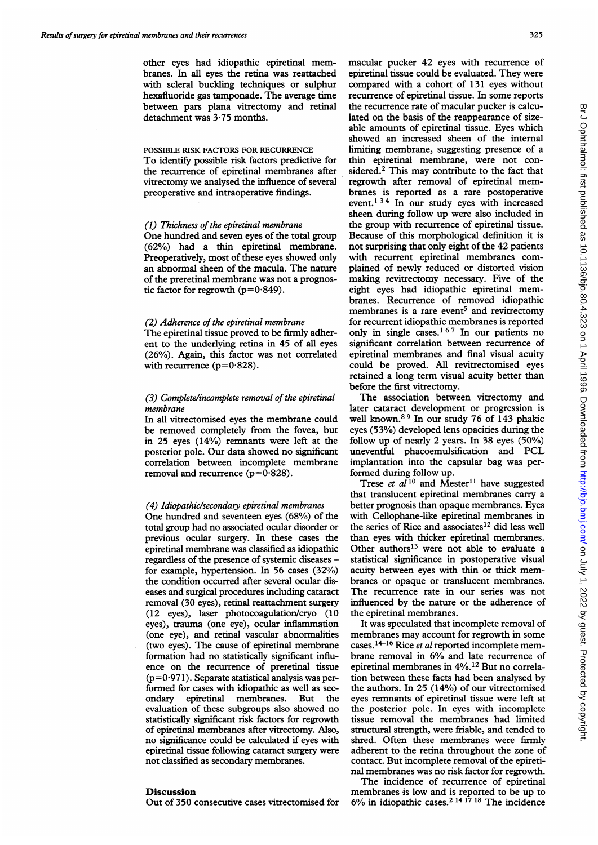other eyes had idiopathic epiretinal membranes. In all eyes the retina was reattached with scleral buckling techniques or sulphur hexafluoride gas tamponade. The average time between pars plana vitrectomy and retinal detachment was 3-75 months.

## POSSIBLE RISK FACTORS FOR RECURRENCE

To identify possible risk factors predictive for the recurrence of epiretinal membranes after vitrectomy we analysed the influence of several preoperative and intraoperative findings.

### (1) Thickness of the epiretinal membrane

One hundred and seven eyes of the total group (62%) had a thin epiretinal membrane. Preoperatively, most of these eyes showed only an abnormal sheen of the macula. The nature of the preretinal membrane was not a prognostic factor for regrowth  $(p=0.849)$ .

# (2) Adherence of the epiretinal membrane

The epiretinal tissue proved to be firmly adherent to the underlying retina in 45 of all eyes (26%). Again, this factor was not correlated with recurrence ( $p=0.828$ ).

# (3) Complete/incomplete removal of the epiretinal membrane

In all vitrectomised eyes the membrane could be removed completely from the fovea, but in 25 eyes (14%) remnants were left at the posterior pole. Our data showed no significant correlation between incomplete membrane removal and recurrence ( $p=0.828$ ).

#### (4) Idiopathic/secondary epiretinal membranes

One hundred and seventeen eyes (68%) of the total group had no associated ocular disorder or previous ocular surgery. In these cases the epiretinal membrane was classified as idiopathic regardless of the presence of systemic diseases for example, hypertension. In 56 cases (32%) the condition occurred after several ocular diseases and surgical procedures including cataract removal (30 eyes), retinal reattachment surgery (12 eyes), laser photocoagulation/cryo (10 eyes), trauma (one eye), ocular inflammation (one eye), and retinal vascular abnormalities (two eyes). The cause of epiretinal membrane formation had no statistically significant influence on the recurrence of preretinal tissue  $(p=0.971)$ . Separate statistical analysis was performed for cases with idiopathic as well as secondary epiretinal membranes. But the evaluation of these subgroups also showed no statistically significant risk factors for regrowth of epiretinal membranes after vitrectomy. Also, no significance could be calculated if eyes with epiretinal tissue following cataract surgery were not classified as secondary membranes.

## Discussion

Out of 350 consecutive cases vitrectomised for

macular pucker 42 eyes with recurrence of epiretinal tissue could be evaluated. They were compared with <sup>a</sup> cohort of <sup>131</sup> eyes without recurrence of epiretinal tissue. In some reports the recurrence rate of macular pucker is calculated on the basis of the reappearance of sizeable amounts of epiretinal tissue. Eyes which showed an increased sheen of the internal limiting membrane, suggesting presence of a thin epiretinal membrane, were not considered.2 This may contribute to the fact that regrowth after removal of epiretinal membranes is reported as a rare postoperative event.<sup>134</sup> In our study eyes with increased sheen during follow up were also included in the group with recurrence of epiretinal tissue. Because of this morphological definition it is not surprising that only eight of the 42 patients with recurrent epiretinal membranes complained of newly reduced or distorted vision making revitrectomy necessary. Five of the eight eyes had idiopathic epiretinal membranes. Recurrence of removed idiopathic membranes is a rare event<sup>5</sup> and revitrectomy for recurrent idiopathic membranes is reported only in single cases.1 67 In our patients no significant correlation between recurrence of epiretinal membranes and final visual acuity could be proved. All revitrectomised eyes retained a long term visual acuity better than before the first vitrectomy.

The association between vitrectomy and later cataract development or progression is well known.8 <sup>9</sup> In our study 76 of 143 phakic eyes (53%) developed lens opacities during the follow up of nearly 2 years. In 38 eyes (50%) uneventful phacoemulsification and PCL implantation into the capsular bag was performed during follow up.

Trese et  $a\overline{l}^{10}$  and Mester<sup>11</sup> have suggested that translucent epiretinal membranes carry a better prognosis than opaque membranes. Eyes with Cellophane-like epiretinal membranes in the series of Rice and associates<sup>12</sup> did less well than eyes with thicker epiretinal membranes. Other authors<sup>13</sup> were not able to evaluate a statistical significance in postoperative visual acuity between eyes with thin or thick membranes or opaque or translucent membranes. The recurrence rate in our series was not influenced by the nature or the adherence of the epiretinal membranes.

It was speculated that incomplete removal of membranes may account for regrowth in some cases.<sup>14-16</sup> Rice et al reported incomplete membrane removal in 6% and late recurrence of epiretinal membranes in 4%.<sup>12</sup> But no correlation between these facts had been analysed by the authors. In 25 (14%) of our vitrectomised eyes remnants of epiretinal tissue were left at the posterior pole. In eyes with incomplete tissue removal the membranes had limited structural strength, were friable, and tended to shred. Often these membranes were firmly adherent to the retina throughout the zone of contact. But incomplete removal of the epiretinal membranes was no risk factor for regrowth.

The incidence of recurrence of epiretinal membranes is low and is reported to be up to 6% in idiopathic cases.<sup>2 14 17</sup> 18 The incidence